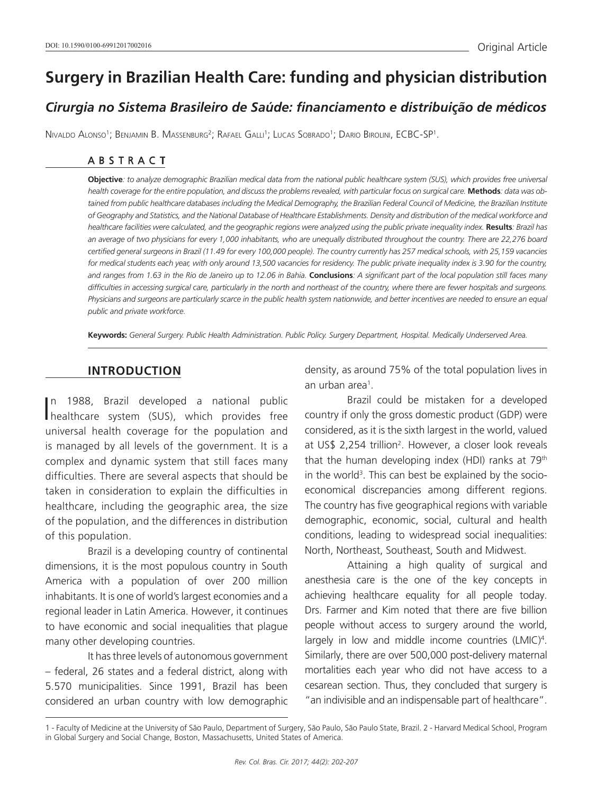# **Surgery in Brazilian Health Care: funding and physician distribution**

# *Cirurgia no Sistema Brasileiro de Saúde: financiamento e distribuição de médicos*

Nivaldo Alonso1 ; Benjamin B. Massenburg2 ; Rafael Galli1 ; Lucas Sobrado1 ; Dario Birolini, ECBC-SP1 .

#### ABSTRACT

**Objective***: to analyze demographic Brazilian medical data from the national public healthcare system (SUS), which provides free universal*  health coverage for the entire population, and discuss the problems revealed, with particular focus on surgical care. Methods: data was obtained from public healthcare databases including the Medical Demography, the Brazilian Federal Council of Medicine, the Brazilian Institute *of Geography and Statistics, and the National Database of Healthcare Establishments. Density and distribution of the medical workforce and healthcare facilities were calculated, and the geographic regions were analyzed using the public private inequality index.* **Results***: Brazil has an average of two physicians for every 1,000 inhabitants, who are unequally distributed throughout the country. There are 22,276 board certified general surgeons in Brazil (11.49 for every 100,000 people). The country currently has 257 medical schools, with 25,159 vacancies for medical students each year, with only around 13,500 vacancies for residency. The public private inequality index is 3.90 for the country, and ranges from 1.63 in the Rio de Janeiro up to 12.06 in Bahia.* **Conclusions***: A significant part of the local population still faces many difficulties in accessing surgical care, particularly in the north and northeast of the country, where there are fewer hospitals and surgeons. Physicians and surgeons are particularly scarce in the public health system nationwide, and better incentives are needed to ensure an equal public and private workforce.*

**Keywords:** *General Surgery. Public Health Administration. Public Policy. Surgery Department, Hospital. Medically Underserved Area.*

#### **INTRODUCTION**

I healthcare system (SUS), which provides free n 1988, Brazil developed a national public universal health coverage for the population and is managed by all levels of the government. It is a complex and dynamic system that still faces many difficulties. There are several aspects that should be taken in consideration to explain the difficulties in healthcare, including the geographic area, the size of the population, and the differences in distribution of this population.

Brazil is a developing country of continental dimensions, it is the most populous country in South America with a population of over 200 million inhabitants. It is one of world's largest economies and a regional leader in Latin America. However, it continues to have economic and social inequalities that plague many other developing countries.

It has three levels of autonomous government – federal, 26 states and a federal district, along with 5.570 municipalities. Since 1991, Brazil has been considered an urban country with low demographic

density, as around 75% of the total population lives in an urban area<sup>1</sup>.

Brazil could be mistaken for a developed country if only the gross domestic product (GDP) were considered, as it is the sixth largest in the world, valued at US\$ 2,254 trillion2 . However, a closer look reveals that the human developing index (HDI) ranks at 79th in the world<sup>3</sup>. This can best be explained by the socioeconomical discrepancies among different regions. The country has five geographical regions with variable demographic, economic, social, cultural and health conditions, leading to widespread social inequalities: North, Northeast, Southeast, South and Midwest.

Attaining a high quality of surgical and anesthesia care is the one of the key concepts in achieving healthcare equality for all people today. Drs. Farmer and Kim noted that there are five billion people without access to surgery around the world, largely in low and middle income countries (LMIC)<sup>4</sup>. Similarly, there are over 500,000 post-delivery maternal mortalities each year who did not have access to a cesarean section. Thus, they concluded that surgery is "an indivisible and an indispensable part of healthcare".

<sup>1 -</sup> Faculty of Medicine at the University of São Paulo, Department of Surgery, São Paulo, São Paulo State, Brazil. 2 - Harvard Medical School, Program in Global Surgery and Social Change, Boston, Massachusetts, United States of America.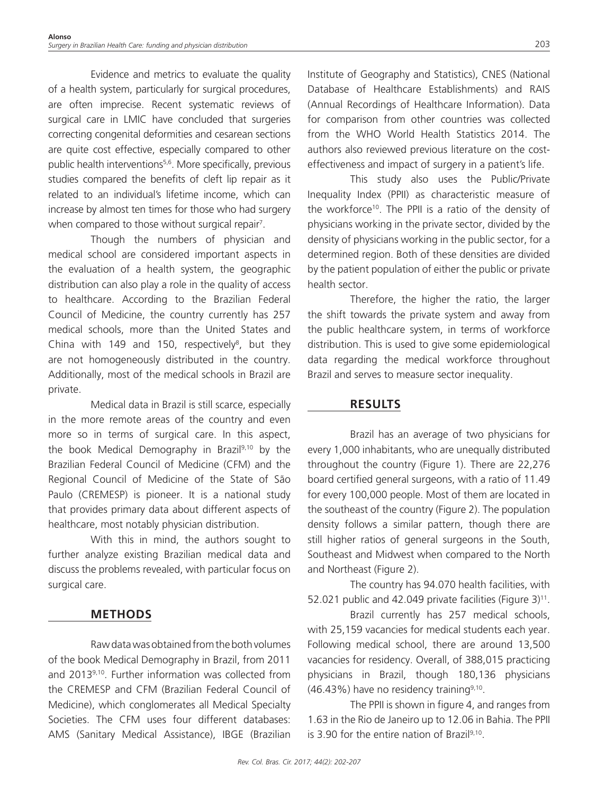Evidence and metrics to evaluate the quality of a health system, particularly for surgical procedures, are often imprecise. Recent systematic reviews of surgical care in LMIC have concluded that surgeries correcting congenital deformities and cesarean sections are quite cost effective, especially compared to other public health interventions5,6. More specifically, previous studies compared the benefits of cleft lip repair as it related to an individual's lifetime income, which can increase by almost ten times for those who had surgery when compared to those without surgical repair<sup>7</sup>.

Though the numbers of physician and medical school are considered important aspects in the evaluation of a health system, the geographic distribution can also play a role in the quality of access to healthcare. According to the Brazilian Federal Council of Medicine, the country currently has 257 medical schools, more than the United States and China with 149 and 150, respectively<sup>8</sup>, but they are not homogeneously distributed in the country. Additionally, most of the medical schools in Brazil are private.

Medical data in Brazil is still scarce, especially in the more remote areas of the country and even more so in terms of surgical care. In this aspect, the book Medical Demography in Brazil9,10 by the Brazilian Federal Council of Medicine (CFM) and the Regional Council of Medicine of the State of São Paulo (CREMESP) is pioneer. It is a national study that provides primary data about different aspects of healthcare, most notably physician distribution.

With this in mind, the authors sought to further analyze existing Brazilian medical data and discuss the problems revealed, with particular focus on surgical care.

# **METHODS**

Raw data was obtained from the both volumes of the book Medical Demography in Brazil, from 2011 and 20139,10. Further information was collected from the CREMESP and CFM (Brazilian Federal Council of Medicine), which conglomerates all Medical Specialty Societies. The CFM uses four different databases: AMS (Sanitary Medical Assistance), IBGE (Brazilian

Institute of Geography and Statistics), CNES (National Database of Healthcare Establishments) and RAIS (Annual Recordings of Healthcare Information). Data for comparison from other countries was collected from the WHO World Health Statistics 2014. The authors also reviewed previous literature on the costeffectiveness and impact of surgery in a patient's life.

This study also uses the Public/Private Inequality Index (PPII) as characteristic measure of the workforce10. The PPII is a ratio of the density of physicians working in the private sector, divided by the density of physicians working in the public sector, for a determined region. Both of these densities are divided by the patient population of either the public or private health sector.

Therefore, the higher the ratio, the larger the shift towards the private system and away from the public healthcare system, in terms of workforce distribution. This is used to give some epidemiological data regarding the medical workforce throughout Brazil and serves to measure sector inequality.

## **RESULTS**

Brazil has an average of two physicians for every 1,000 inhabitants, who are unequally distributed throughout the country (Figure 1). There are 22,276 board certified general surgeons, with a ratio of 11.49 for every 100,000 people. Most of them are located in the southeast of the country (Figure 2). The population density follows a similar pattern, though there are still higher ratios of general surgeons in the South, Southeast and Midwest when compared to the North and Northeast (Figure 2).

The country has 94.070 health facilities, with 52.021 public and 42.049 private facilities (Figure 3)<sup>11</sup>.

Brazil currently has 257 medical schools, with 25,159 vacancies for medical students each year. Following medical school, there are around 13,500 vacancies for residency. Overall, of 388,015 practicing physicians in Brazil, though 180,136 physicians  $(46.43%)$  have no residency training<sup>9,10</sup>.

The PPII is shown in figure 4, and ranges from 1.63 in the Rio de Janeiro up to 12.06 in Bahia. The PPII is 3.90 for the entire nation of Brazil $9,10$ .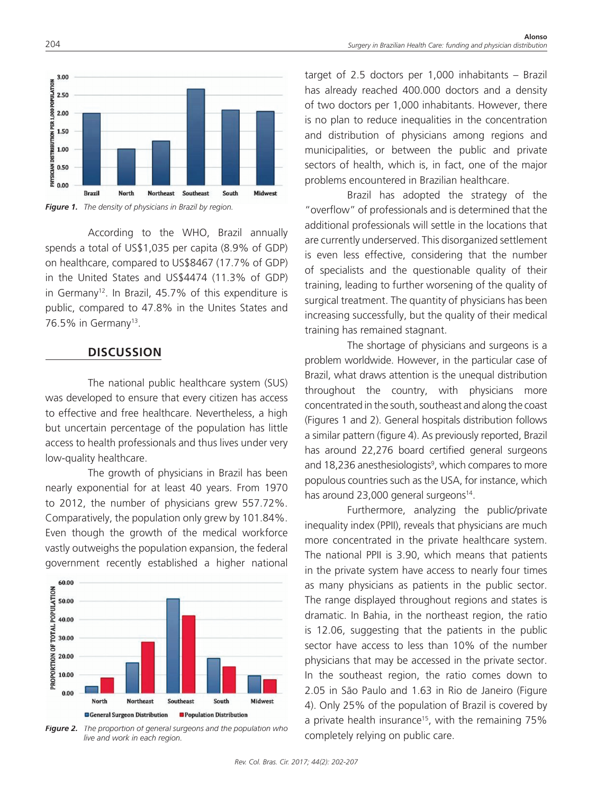

*Figure 1. The density of physicians in Brazil by region.*

According to the WHO, Brazil annually spends a total of US\$1,035 per capita (8.9% of GDP) on healthcare, compared to US\$8467 (17.7% of GDP) in the United States and US\$4474 (11.3% of GDP) in Germany<sup>12</sup>. In Brazil, 45.7% of this expenditure is public, compared to 47.8% in the Unites States and 76.5% in Germany<sup>13</sup>.

#### **DISCUSSION**

The national public healthcare system (SUS) was developed to ensure that every citizen has access to effective and free healthcare. Nevertheless, a high but uncertain percentage of the population has little access to health professionals and thus lives under very low-quality healthcare.

The growth of physicians in Brazil has been nearly exponential for at least 40 years. From 1970 to 2012, the number of physicians grew 557.72%. Comparatively, the population only grew by 101.84%. Even though the growth of the medical workforce vastly outweighs the population expansion, the federal government recently established a higher national



*Figure 2. The proportion of general surgeons and the population who live and work in each region.*

target of 2.5 doctors per 1,000 inhabitants – Brazil has already reached 400.000 doctors and a density of two doctors per 1,000 inhabitants. However, there is no plan to reduce inequalities in the concentration and distribution of physicians among regions and municipalities, or between the public and private sectors of health, which is, in fact, one of the major problems encountered in Brazilian healthcare.

Brazil has adopted the strategy of the "overflow" of professionals and is determined that the additional professionals will settle in the locations that are currently underserved. This disorganized settlement is even less effective, considering that the number of specialists and the questionable quality of their training, leading to further worsening of the quality of surgical treatment. The quantity of physicians has been increasing successfully, but the quality of their medical training has remained stagnant.

The shortage of physicians and surgeons is a problem worldwide. However, in the particular case of Brazil, what draws attention is the unequal distribution throughout the country, with physicians more concentrated in the south, southeast and along the coast (Figures 1 and 2). General hospitals distribution follows a similar pattern (figure 4). As previously reported, Brazil has around 22,276 board certified general surgeons and 18,236 anesthesiologists<sup>9</sup>, which compares to more populous countries such as the USA, for instance, which has around 23,000 general surgeons<sup>14</sup>.

Furthermore, analyzing the public/private inequality index (PPII), reveals that physicians are much more concentrated in the private healthcare system. The national PPII is 3.90, which means that patients in the private system have access to nearly four times as many physicians as patients in the public sector. The range displayed throughout regions and states is dramatic. In Bahia, in the northeast region, the ratio is 12.06, suggesting that the patients in the public sector have access to less than 10% of the number physicians that may be accessed in the private sector. In the southeast region, the ratio comes down to 2.05 in São Paulo and 1.63 in Rio de Janeiro (Figure 4). Only 25% of the population of Brazil is covered by a private health insurance<sup>15</sup>, with the remaining 75% completely relying on public care.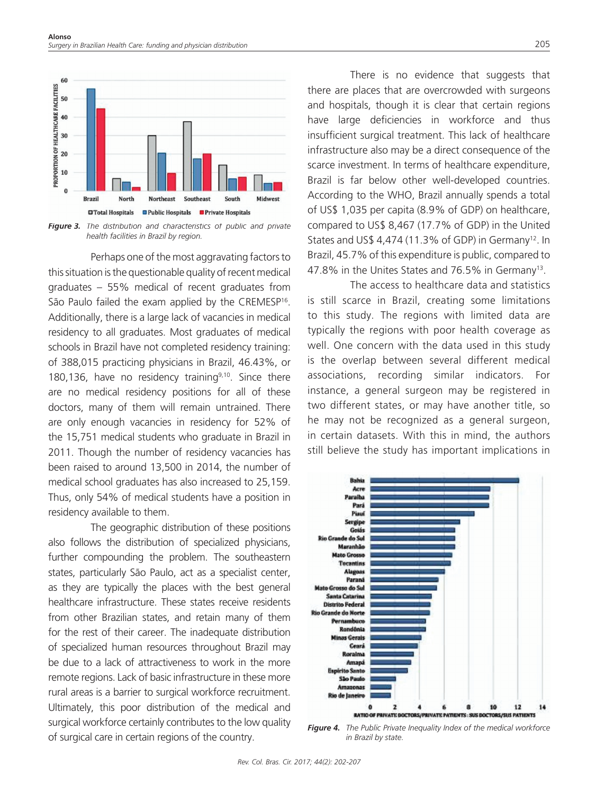

*Figure 3. The distribution and characteristics of public and private health facilities in Brazil by region.*

Perhaps one of the most aggravating factors to this situation is the questionable quality of recent medical graduates – 55% medical of recent graduates from São Paulo failed the exam applied by the CREMESP<sup>16</sup>. Additionally, there is a large lack of vacancies in medical residency to all graduates. Most graduates of medical schools in Brazil have not completed residency training: of 388,015 practicing physicians in Brazil, 46.43%, or 180,136, have no residency training $9,10$ . Since there are no medical residency positions for all of these doctors, many of them will remain untrained. There are only enough vacancies in residency for 52% of the 15,751 medical students who graduate in Brazil in 2011. Though the number of residency vacancies has been raised to around 13,500 in 2014, the number of medical school graduates has also increased to 25,159. Thus, only 54% of medical students have a position in residency available to them.

The geographic distribution of these positions also follows the distribution of specialized physicians, further compounding the problem. The southeastern states, particularly São Paulo, act as a specialist center, as they are typically the places with the best general healthcare infrastructure. These states receive residents from other Brazilian states, and retain many of them for the rest of their career. The inadequate distribution of specialized human resources throughout Brazil may be due to a lack of attractiveness to work in the more remote regions. Lack of basic infrastructure in these more rural areas is a barrier to surgical workforce recruitment. Ultimately, this poor distribution of the medical and surgical workforce certainly contributes to the low quality of surgical care in certain regions of the country.

There is no evidence that suggests that there are places that are overcrowded with surgeons and hospitals, though it is clear that certain regions have large deficiencies in workforce and thus insufficient surgical treatment. This lack of healthcare infrastructure also may be a direct consequence of the scarce investment. In terms of healthcare expenditure, Brazil is far below other well-developed countries. According to the WHO, Brazil annually spends a total of US\$ 1,035 per capita (8.9% of GDP) on healthcare, compared to US\$ 8,467 (17.7% of GDP) in the United States and US\$ 4,474 (11.3% of GDP) in Germany<sup>12</sup>. In Brazil, 45.7% of this expenditure is public, compared to 47.8% in the Unites States and 76.5% in Germany13.

The access to healthcare data and statistics is still scarce in Brazil, creating some limitations to this study. The regions with limited data are typically the regions with poor health coverage as well. One concern with the data used in this study is the overlap between several different medical associations, recording similar indicators. For instance, a general surgeon may be registered in two different states, or may have another title, so he may not be recognized as a general surgeon, in certain datasets. With this in mind, the authors still believe the study has important implications in



*Figure 4. The Public Private Inequality Index of the medical workforce in Brazil by state.*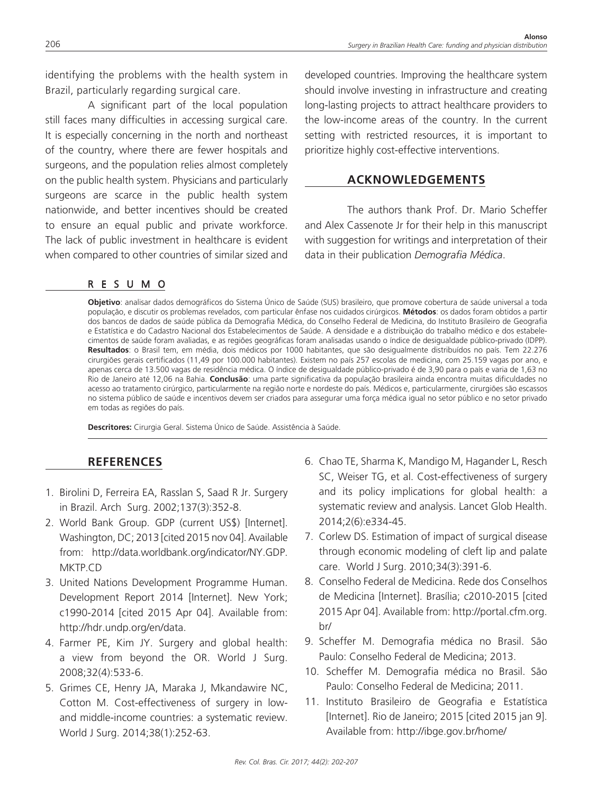identifying the problems with the health system in Brazil, particularly regarding surgical care.

A significant part of the local population still faces many difficulties in accessing surgical care. It is especially concerning in the north and northeast of the country, where there are fewer hospitals and surgeons, and the population relies almost completely on the public health system. Physicians and particularly surgeons are scarce in the public health system nationwide, and better incentives should be created to ensure an equal public and private workforce. The lack of public investment in healthcare is evident when compared to other countries of similar sized and

## RESUMO

developed countries. Improving the healthcare system should involve investing in infrastructure and creating long-lasting projects to attract healthcare providers to the low-income areas of the country. In the current setting with restricted resources, it is important to prioritize highly cost-effective interventions.

#### **ACKNOWLEDGEMENTS**

The authors thank Prof. Dr. Mario Scheffer and Alex Cassenote Jr for their help in this manuscript with suggestion for writings and interpretation of their data in their publication *Demografia Médica*.

**Objetivo**: analisar dados demográficos do Sistema Único de Saúde (SUS) brasileiro, que promove cobertura de saúde universal a toda população, e discutir os problemas revelados, com particular ênfase nos cuidados cirúrgicos. **Métodos**: os dados foram obtidos a partir dos bancos de dados de saúde pública da Demografia Médica, do Conselho Federal de Medicina, do Instituto Brasileiro de Geografia e Estatística e do Cadastro Nacional dos Estabelecimentos de Saúde. A densidade e a distribuição do trabalho médico e dos estabelecimentos de saúde foram avaliadas, e as regiões geográficas foram analisadas usando o índice de desigualdade público-privado (IDPP). **Resultados**: o Brasil tem, em média, dois médicos por 1000 habitantes, que são desigualmente distribuídos no país. Tem 22.276 cirurgiões gerais certificados (11,49 por 100.000 habitantes). Existem no país 257 escolas de medicina, com 25.159 vagas por ano, e apenas cerca de 13.500 vagas de residência médica. O índice de desigualdade público-privado é de 3,90 para o país e varia de 1,63 no Rio de Janeiro até 12,06 na Bahia. **Conclusão**: uma parte significativa da população brasileira ainda encontra muitas dificuldades no acesso ao tratamento cirúrgico, particularmente na região norte e nordeste do país. Médicos e, particularmente, cirurgiões são escassos no sistema público de saúde e incentivos devem ser criados para assegurar uma força médica igual no setor público e no setor privado em todas as regiões do país.

**Descritores:** Cirurgia Geral. Sistema Único de Saúde. Assistência à Saúde.

## **REFERENCES**

- 1. Birolini D, Ferreira EA, Rasslan S, Saad R Jr. Surgery in Brazil. Arch Surg. 2002;137(3):352-8.
- 2. World Bank Group. GDP (current US\$) [Internet]. Washington, DC; 2013 [cited 2015 nov 04]. Available from: http://data.worldbank.org/indicator/NY.GDP. MKTP.CD
- 3. United Nations Development Programme Human. Development Report 2014 [Internet]. New York; c1990-2014 [cited 2015 Apr 04]. Available from: http://hdr.undp.org/en/data.
- 4. Farmer PE, Kim JY. Surgery and global health: a view from beyond the OR. World J Surg. 2008;32(4):533-6.
- 5. Grimes CE, Henry JA, Maraka J, Mkandawire NC, Cotton M. Cost-effectiveness of surgery in lowand middle-income countries: a systematic review. World J Surg. 2014;38(1):252-63.
- 6. Chao TE, Sharma K, Mandigo M, Hagander L, Resch SC, Weiser TG, et al. Cost-effectiveness of surgery and its policy implications for global health: a systematic review and analysis. Lancet Glob Health. 2014;2(6):e334-45.
- 7. Corlew DS. Estimation of impact of surgical disease through economic modeling of cleft lip and palate care. World J Surg. 2010;34(3):391-6.
- 8. Conselho Federal de Medicina. Rede dos Conselhos de Medicina [Internet]. Brasília; c2010-2015 [cited 2015 Apr 04]. Available from: http://portal.cfm.org. br/
- 9. Scheffer M. Demografia médica no Brasil. São Paulo: Conselho Federal de Medicina; 2013.
- 10. Scheffer M. Demografia médica no Brasil. São Paulo: Conselho Federal de Medicina; 2011.
- 11. Instituto Brasileiro de Geografia e Estatística [Internet]. Rio de Janeiro; 2015 [cited 2015 jan 9]. Available from: http://ibge.gov.br/home/